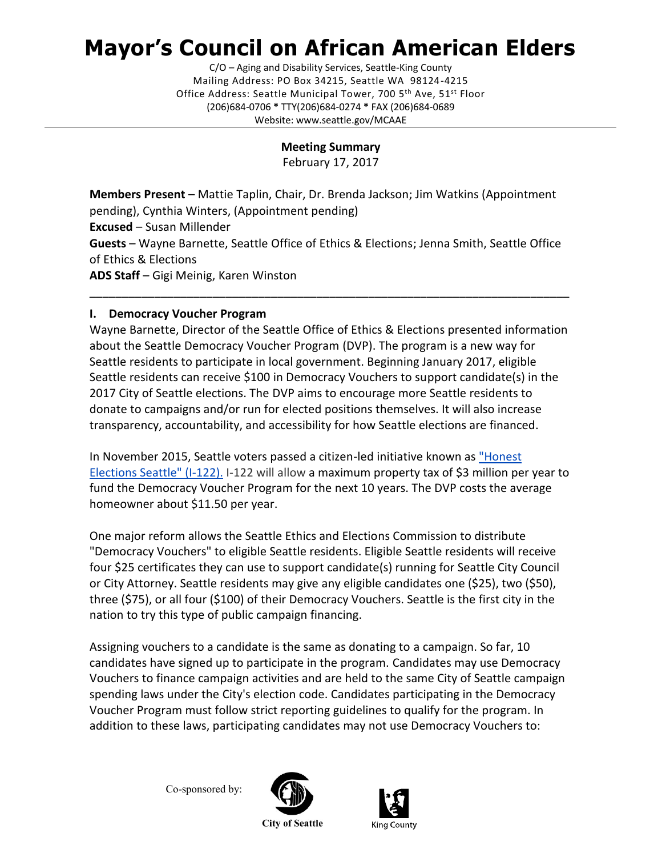# **Mayor's Council on African American Elders**

C/O – Aging and Disability Services, Seattle-King County Mailing Address: PO Box 34215, Seattle WA 98124-4215 Office Address: Seattle Municipal Tower, 700 5<sup>th</sup> Ave, 51<sup>st</sup> Floor (206)684-0706 **\*** TTY(206)684-0274 **\*** FAX (206)684-0689 Website: www.seattle.gov/MCAAE

## **Meeting Summary**

February 17, 2017

**Members Present** – Mattie Taplin, Chair, Dr. Brenda Jackson; Jim Watkins (Appointment pending), Cynthia Winters, (Appointment pending) **Excused** – Susan Millender **Guests** – Wayne Barnette, Seattle Office of Ethics & Elections; Jenna Smith, Seattle Office of Ethics & Elections **ADS Staff** – Gigi Meinig, Karen Winston

\_\_\_\_\_\_\_\_\_\_\_\_\_\_\_\_\_\_\_\_\_\_\_\_\_\_\_\_\_\_\_\_\_\_\_\_\_\_\_\_\_\_\_\_\_\_\_\_\_\_\_\_\_\_\_\_\_\_\_\_\_\_\_\_\_\_\_\_\_\_\_\_\_\_

### **I. Democracy Voucher Program**

Wayne Barnette, Director of the Seattle Office of Ethics & Elections presented information about the Seattle Democracy Voucher Program (DVP). The program is a new way for Seattle residents to participate in local government. Beginning January 2017, eligible Seattle residents can receive \$100 in Democracy Vouchers to support candidate(s) in the 2017 City of Seattle elections. The DVP aims to encourage more Seattle residents to donate to campaigns and/or run for elected positions themselves. It will also increase transparency, accountability, and accessibility for how Seattle elections are financed.

In November 2015, Seattle voters passed a citizen-led initiative known as ["Honest](http://www.seattle.gov/Documents/Departments/EthicsElections/DemocracyVoucher/I-122%20Text-%20Master.pdf)  [Elections Seattle" \(I-122\).](http://www.seattle.gov/Documents/Departments/EthicsElections/DemocracyVoucher/I-122%20Text-%20Master.pdf) I-122 will allow a maximum property tax of \$3 million per year to fund the Democracy Voucher Program for the next 10 years. The DVP costs the average homeowner about \$11.50 per year.

One major reform allows the Seattle Ethics and Elections Commission to distribute "Democracy Vouchers" to eligible Seattle residents. Eligible Seattle residents will receive four \$25 certificates they can use to support candidate(s) running for Seattle City Council or City Attorney. Seattle residents may give any eligible candidates one (\$25), two (\$50), three (\$75), or all four (\$100) of their Democracy Vouchers. Seattle is the first city in the nation to try this type of public campaign financing.

Assigning vouchers to a candidate is the same as donating to a campaign. So far, 10 candidates have signed up to participate in the program. Candidates may use Democracy Vouchers to finance campaign activities and are held to the same City of Seattle campaign spending laws under the [City's election code.](https://www.municode.com/library/wa/seattle/codes/municipal_code?nodeId=TIT2EL) Candidates participating in the Democracy Voucher Program must follow strict reporting guidelines to qualify for the program. In addition to these laws, participating candidates may not use Democracy Vouchers to:

Co-sponsored by:



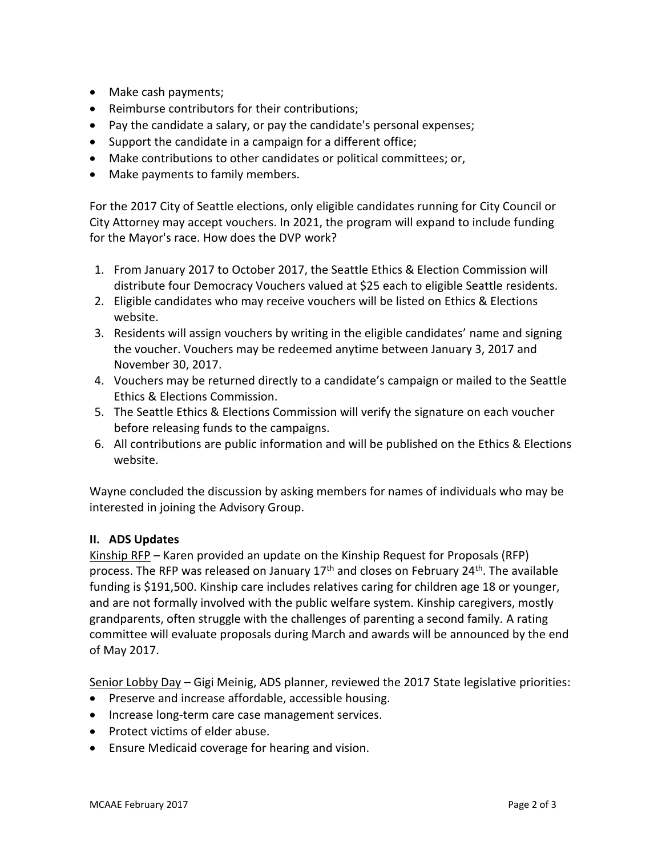- Make cash payments;
- Reimburse contributors for their contributions;
- Pay the candidate a salary, or pay the candidate's personal expenses;
- Support the candidate in a campaign for a different office;
- Make contributions to other candidates or political committees; or,
- Make payments to family members.

For the 2017 City of Seattle elections, only eligible candidates running for City Council or City Attorney may accept vouchers. In 2021, the program will expand to include funding for the Mayor's race. How does the DVP work?

- 1. From January 2017 to October 2017, the Seattle Ethics & Election Commission will distribute four Democracy Vouchers valued at \$25 each to eligible Seattle residents.
- 2. Eligible candidates who may receive vouchers will be listed on Ethics & Elections website.
- 3. Residents will assign vouchers by writing in the eligible candidates' name and signing the voucher. Vouchers may be redeemed anytime between January 3, 2017 and November 30, 2017.
- 4. Vouchers may be returned directly to a candidate's campaign or mailed to the Seattle Ethics & Elections Commission.
- 5. The Seattle Ethics & Elections Commission will verify the signature on each voucher before releasing funds to the campaigns.
- 6. All contributions are public information and will be published on the Ethics & Elections website.

Wayne concluded the discussion by asking members for names of individuals who may be interested in joining the Advisory Group.

#### **II. ADS Updates**

Kinship RFP – Karen provided an update on the Kinship Request for Proposals (RFP) process. The RFP was released on January  $17<sup>th</sup>$  and closes on February 24<sup>th</sup>. The available funding is \$191,500. Kinship care includes relatives caring for children age 18 or younger, and are not formally involved with the public welfare system. Kinship caregivers, mostly grandparents, often struggle with the challenges of parenting a second family. A rating committee will evaluate proposals during March and awards will be announced by the end of May 2017.

Senior Lobby Day – Gigi Meinig, ADS planner, reviewed the 2017 State legislative priorities:

- Preserve and increase affordable, accessible housing.
- Increase long-term care case management services.
- Protect victims of elder abuse.
- Ensure Medicaid coverage for hearing and vision.